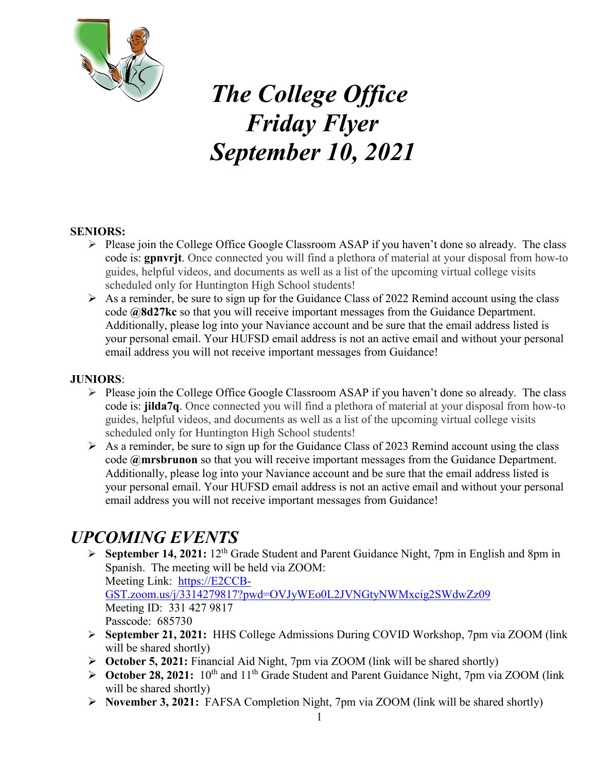

# *The College Office Friday Flyer September 10, 2021*

#### **SENIORS:**

- $\triangleright$  Please join the College Office Google Classroom ASAP if you haven't done so already. The class code is: **gpnvrjt**. Once connected you will find a plethora of material at your disposal from how-to guides, helpful videos, and documents as well as a list of the upcoming virtual college visits scheduled only for Huntington High School students!
- $\triangleright$  As a reminder, be sure to sign up for the Guidance Class of 2022 Remind account using the class code **@8d27kc** so that you will receive important messages from the Guidance Department. Additionally, please log into your Naviance account and be sure that the email address listed is your personal email. Your HUFSD email address is not an active email and without your personal email address you will not receive important messages from Guidance!

#### **JUNIORS**:

- $\triangleright$  Please join the College Office Google Classroom ASAP if you haven't done so already. The class code is: **jilda7q**. Once connected you will find a plethora of material at your disposal from how-to guides, helpful videos, and documents as well as a list of the upcoming virtual college visits scheduled only for Huntington High School students!
- $\triangleright$  As a reminder, be sure to sign up for the Guidance Class of 2023 Remind account using the class code **@mrsbrunon** so that you will receive important messages from the Guidance Department. Additionally, please log into your Naviance account and be sure that the email address listed is your personal email. Your HUFSD email address is not an active email and without your personal email address you will not receive important messages from Guidance!

# *UPCOMING EVENTS*

 **September 14, 2021:** 12th Grade Student and Parent Guidance Night, 7pm in English and 8pm in Spanish. The meeting will be held via ZOOM: Meeting Link: [https://E2CCB-](https://e2ccb-gst.zoom.us/j/3314279817?pwd=OVJyWEo0L2JVNGtyNWMxcig2SWdwZz09)

[GST.zoom.us/j/3314279817?pwd=OVJyWEo0L2JVNGtyNWMxcig2SWdwZz09](https://e2ccb-gst.zoom.us/j/3314279817?pwd=OVJyWEo0L2JVNGtyNWMxcig2SWdwZz09) Meeting ID: 331 427 9817 Passcode: 685730

- **September 21, 2021:** HHS College Admissions During COVID Workshop, 7pm via ZOOM (link will be shared shortly)
- **October 5, 2021:** Financial Aid Night, 7pm via ZOOM (link will be shared shortly)
- **► October 28, 2021:** 10<sup>th</sup> and 11<sup>th</sup> Grade Student and Parent Guidance Night, 7pm via ZOOM (link will be shared shortly)
- **November 3, 2021:** FAFSA Completion Night, 7pm via ZOOM (link will be shared shortly)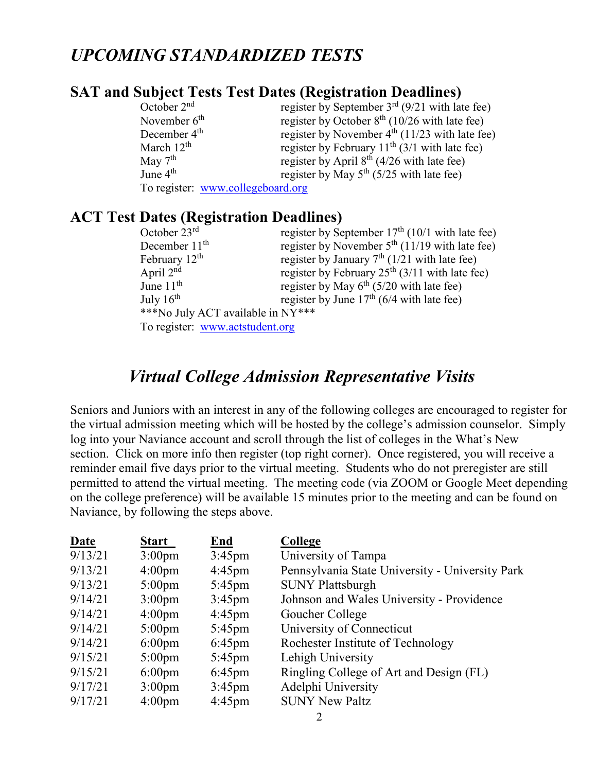### *UPCOMING STANDARDIZED TESTS*

#### **SAT and Subject Tests Test Dates (Registration Deadlines)**

| October $2nd$            | register by September $3rd$ (9/21 with late fee) |
|--------------------------|--------------------------------------------------|
| November $6th$           | register by October $8th$ (10/26 with late fee)  |
| December 4 <sup>th</sup> | register by November $4th$ (11/23 with late fee) |
| March $12th$             | register by February $11th$ (3/1 with late fee)  |
| May $7th$                | register by April $8th$ (4/26 with late fee)     |
| June $4th$               | register by May $5th$ (5/25 with late fee)       |
|                          | To register: www.collegeboard.org                |

#### **ACT Test Dates (Registration Deadlines)**

| October 23rd                      | register by September $17th$ (10/1 with late fee) |
|-----------------------------------|---------------------------------------------------|
| December $11th$                   | register by November $5th$ (11/19 with late fee)  |
| February 12 <sup>th</sup>         | register by January $7th$ (1/21 with late fee)    |
| April $2nd$                       | register by February $25th$ (3/11 with late fee)  |
| June $11th$                       | register by May $6^{th}$ (5/20 with late fee)     |
| July $16th$                       | register by June $17th$ (6/4 with late fee)       |
| ***No July ACT available in NY*** |                                                   |
| To register: www.actstudent.org   |                                                   |

### *Virtual College Admission Representative Visits*

Seniors and Juniors with an interest in any of the following colleges are encouraged to register for the virtual admission meeting which will be hosted by the college's admission counselor. Simply log into your Naviance account and scroll through the list of colleges in the What's New section. Click on more info then register (top right corner). Once registered, you will receive a reminder email five days prior to the virtual meeting. Students who do not preregister are still permitted to attend the virtual meeting. The meeting code (via ZOOM or Google Meet depending on the college preference) will be available 15 minutes prior to the meeting and can be found on Naviance, by following the steps above.

| <b>Date</b> | <b>Start</b>       | <b>End</b>       | College                                         |
|-------------|--------------------|------------------|-------------------------------------------------|
| 9/13/21     | 3:00 <sub>pm</sub> | $3:45$ pm        | University of Tampa                             |
| 9/13/21     | $4:00 \text{pm}$   | $4:45 \text{pm}$ | Pennsylvania State University - University Park |
| 9/13/21     | $5:00 \text{pm}$   | $5:45$ pm        | <b>SUNY Plattsburgh</b>                         |
| 9/14/21     | $3:00 \text{pm}$   | $3:45$ pm        | Johnson and Wales University - Providence       |
| 9/14/21     | $4:00 \text{pm}$   | $4:45$ pm        | Goucher College                                 |
| 9/14/21     | $5:00 \text{pm}$   | $5:45$ pm        | University of Connecticut                       |
| 9/14/21     | $6:00 \text{pm}$   | $6:45$ pm        | Rochester Institute of Technology               |
| 9/15/21     | $5:00 \text{pm}$   | $5:45 \text{pm}$ | Lehigh University                               |
| 9/15/21     | $6:00 \text{pm}$   | $6:45$ pm        | Ringling College of Art and Design (FL)         |
| 9/17/21     | $3:00 \text{pm}$   | $3:45$ pm        | Adelphi University                              |
| 9/17/21     | 4:00 <sub>pm</sub> | $4:45$ pm        | <b>SUNY New Paltz</b>                           |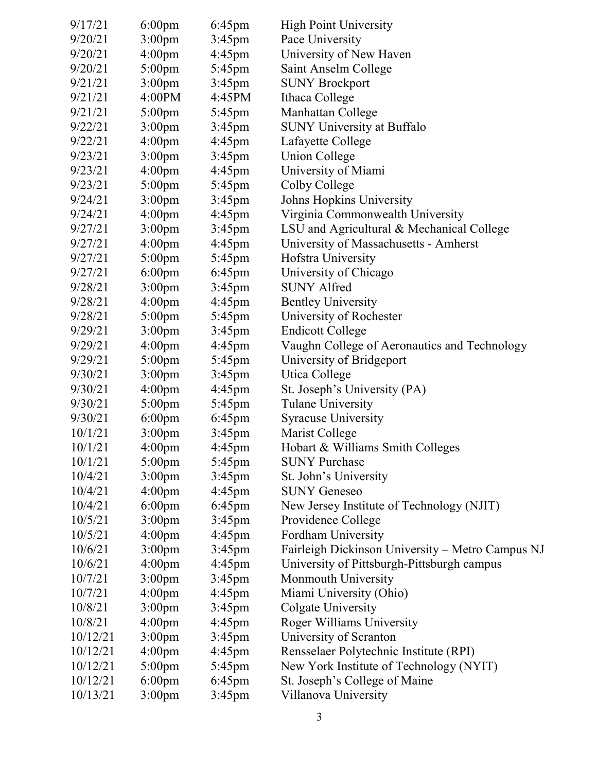| 9/17/21  | $6:00 \text{pm}$   | $6:45$ pm        | <b>High Point University</b>                     |
|----------|--------------------|------------------|--------------------------------------------------|
| 9/20/21  | 3:00 <sub>pm</sub> | $3:45$ pm        | Pace University                                  |
| 9/20/21  | 4:00 <sub>pm</sub> | $4:45$ pm        | University of New Haven                          |
| 9/20/21  | $5:00$ pm          | $5:45 \text{pm}$ | Saint Anselm College                             |
| 9/21/21  | 3:00 <sub>pm</sub> | $3:45$ pm        | <b>SUNY Brockport</b>                            |
| 9/21/21  | 4:00PM             | 4:45PM           | Ithaca College                                   |
| 9/21/21  | $5:00$ pm          | $5:45$ pm        | Manhattan College                                |
| 9/22/21  | 3:00 <sub>pm</sub> | $3:45$ pm        | <b>SUNY University at Buffalo</b>                |
| 9/22/21  | 4:00 <sub>pm</sub> | $4:45$ pm        | Lafayette College                                |
| 9/23/21  | 3:00 <sub>pm</sub> | $3:45$ pm        | <b>Union College</b>                             |
| 9/23/21  | 4:00 <sub>pm</sub> | $4:45$ pm        | University of Miami                              |
| 9/23/21  | $5:00 \text{pm}$   | 5:45pm           | Colby College                                    |
| 9/24/21  | 3:00 <sub>pm</sub> | $3:45$ pm        | Johns Hopkins University                         |
| 9/24/21  | 4:00 <sub>pm</sub> | $4:45$ pm        | Virginia Commonwealth University                 |
| 9/27/21  | 3:00 <sub>pm</sub> | $3:45$ pm        | LSU and Agricultural & Mechanical College        |
| 9/27/21  | 4:00 <sub>pm</sub> | $4:45$ pm        | University of Massachusetts - Amherst            |
| 9/27/21  | $5:00$ pm          | $5:45$ pm        | Hofstra University                               |
| 9/27/21  | $6:00 \text{pm}$   | $6:45$ pm        | University of Chicago                            |
| 9/28/21  | 3:00 <sub>pm</sub> | $3:45$ pm        | <b>SUNY Alfred</b>                               |
| 9/28/21  | 4:00 <sub>pm</sub> | $4:45$ pm        | <b>Bentley University</b>                        |
| 9/28/21  | $5:00$ pm          | $5:45$ pm        | University of Rochester                          |
| 9/29/21  | $3:00$ pm          | $3:45$ pm        | <b>Endicott College</b>                          |
| 9/29/21  | 4:00 <sub>pm</sub> | $4:45$ pm        | Vaughn College of Aeronautics and Technology     |
| 9/29/21  | $5:00$ pm          | $5:45$ pm        | University of Bridgeport                         |
| 9/30/21  | 3:00 <sub>pm</sub> | $3:45$ pm        | Utica College                                    |
| 9/30/21  | 4:00 <sub>pm</sub> | $4:45$ pm        | St. Joseph's University (PA)                     |
| 9/30/21  | $5:00$ pm          | 5:45pm           | <b>Tulane University</b>                         |
| 9/30/21  | $6:00 \text{pm}$   | $6:45$ pm        | <b>Syracuse University</b>                       |
| 10/1/21  | 3:00 <sub>pm</sub> | $3:45$ pm        | Marist College                                   |
| 10/1/21  | 4:00pm             | $4:45$ pm        | Hobart & Williams Smith Colleges                 |
| 10/1/21  | $5:00 \text{pm}$   | $5:45 \text{pm}$ | <b>SUNY Purchase</b>                             |
| 10/4/21  | 3:00 <sub>pm</sub> | $3:45$ pm        | St. John's University                            |
| 10/4/21  | 4:00 <sub>pm</sub> | $4:45$ pm        | <b>SUNY Geneseo</b>                              |
| 10/4/21  | $6:00$ pm          | $6:45$ pm        | New Jersey Institute of Technology (NJIT)        |
| 10/5/21  | 3:00 <sub>pm</sub> | $3:45$ pm        | Providence College                               |
| 10/5/21  | 4:00 <sub>pm</sub> | $4:45$ pm        | Fordham University                               |
| 10/6/21  | 3:00 <sub>pm</sub> | $3:45$ pm        | Fairleigh Dickinson University - Metro Campus NJ |
| 10/6/21  | 4:00 <sub>pm</sub> | $4:45$ pm        | University of Pittsburgh-Pittsburgh campus       |
| 10/7/21  | 3:00 <sub>pm</sub> | $3:45$ pm        | Monmouth University                              |
| 10/7/21  | 4:00 <sub>pm</sub> | 4:45pm           | Miami University (Ohio)                          |
| 10/8/21  | 3:00 <sub>pm</sub> | $3:45$ pm        | Colgate University                               |
| 10/8/21  | 4:00 <sub>pm</sub> | $4:45$ pm        | Roger Williams University                        |
| 10/12/21 | 3:00 <sub>pm</sub> | $3:45$ pm        | University of Scranton                           |
| 10/12/21 | 4:00 <sub>pm</sub> | $4:45$ pm        | Rensselaer Polytechnic Institute (RPI)           |
| 10/12/21 | $5:00$ pm          | 5:45pm           | New York Institute of Technology (NYIT)          |
| 10/12/21 | $6:00 \text{pm}$   | $6:45$ pm        | St. Joseph's College of Maine                    |
| 10/13/21 | 3:00 <sub>pm</sub> | $3:45$ pm        | Villanova University                             |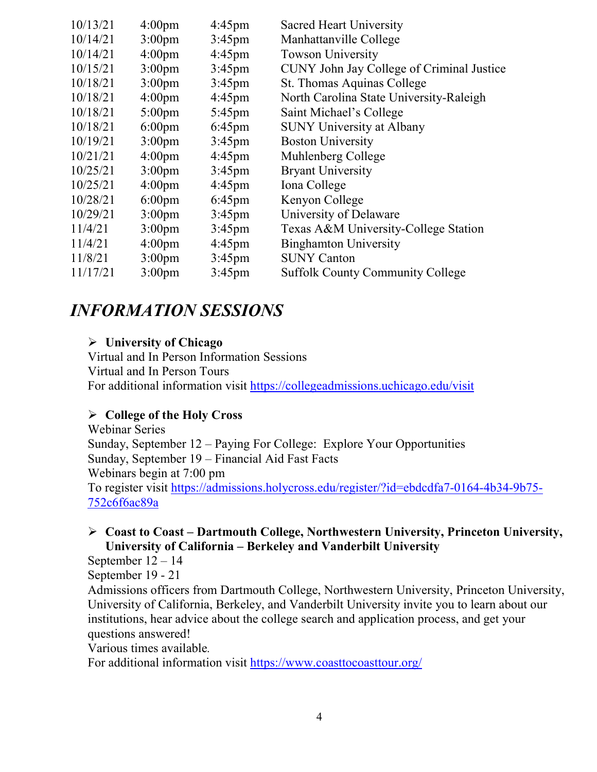| 10/13/21 | 4:00 <sub>pm</sub> | $4:45$ pm        | <b>Sacred Heart University</b>            |
|----------|--------------------|------------------|-------------------------------------------|
| 10/14/21 | 3:00 <sub>pm</sub> | $3:45$ pm        | Manhattanville College                    |
| 10/14/21 | 4:00 <sub>pm</sub> | $4:45$ pm        | <b>Towson University</b>                  |
| 10/15/21 | 3:00 <sub>pm</sub> | $3:45$ pm        | CUNY John Jay College of Criminal Justice |
| 10/18/21 | 3:00 <sub>pm</sub> | $3:45$ pm        | St. Thomas Aquinas College                |
| 10/18/21 | 4:00 <sub>pm</sub> | $4:45$ pm        | North Carolina State University-Raleigh   |
| 10/18/21 | $5:00$ pm          | $5:45 \text{pm}$ | Saint Michael's College                   |
| 10/18/21 | $6:00 \text{pm}$   | $6:45$ pm        | <b>SUNY University at Albany</b>          |
| 10/19/21 | 3:00 <sub>pm</sub> | $3:45$ pm        | <b>Boston University</b>                  |
| 10/21/21 | $4:00 \text{pm}$   | $4:45 \text{pm}$ | Muhlenberg College                        |
| 10/25/21 | 3:00 <sub>pm</sub> | $3:45$ pm        | <b>Bryant University</b>                  |
| 10/25/21 | 4:00 <sub>pm</sub> | $4:45$ pm        | Iona College                              |
| 10/28/21 | $6:00$ pm          | $6:45$ pm        | Kenyon College                            |
| 10/29/21 | 3:00 <sub>pm</sub> | $3:45$ pm        | University of Delaware                    |
| 11/4/21  | 3:00 <sub>pm</sub> | $3:45$ pm        | Texas A&M University-College Station      |
| 11/4/21  | 4:00 <sub>pm</sub> | $4:45 \text{pm}$ | <b>Binghamton University</b>              |
| 11/8/21  | $3:00 \text{pm}$   | $3:45$ pm        | <b>SUNY Canton</b>                        |
| 11/17/21 | 3:00 <sub>pm</sub> | $3:45$ pm        | <b>Suffolk County Community College</b>   |

### *INFORMATION SESSIONS*

#### **University of Chicago**

Virtual and In Person Information Sessions Virtual and In Person Tours For additional information visit<https://collegeadmissions.uchicago.edu/visit>

#### **College of the Holy Cross**

Webinar Series Sunday, September 12 – Paying For College: Explore Your Opportunities Sunday, September 19 – Financial Aid Fast Facts Webinars begin at 7:00 pm To register visit [https://admissions.holycross.edu/register/?id=ebdcdfa7-0164-4b34-9b75-](https://admissions.holycross.edu/register/?id=ebdcdfa7-0164-4b34-9b75-752c6f6ac89a) [752c6f6ac89a](https://admissions.holycross.edu/register/?id=ebdcdfa7-0164-4b34-9b75-752c6f6ac89a)

#### **Coast to Coast – Dartmouth College, Northwestern University, Princeton University, University of California – Berkeley and Vanderbilt University**

September 12 – 14

September 19 - 21

Admissions officers from Dartmouth College, Northwestern University, Princeton University, University of California, Berkeley, and Vanderbilt University invite you to learn about our institutions, hear advice about the college search and application process, and get your questions answered!

Various times available*.*

For additional information visit<https://www.coasttocoasttour.org/>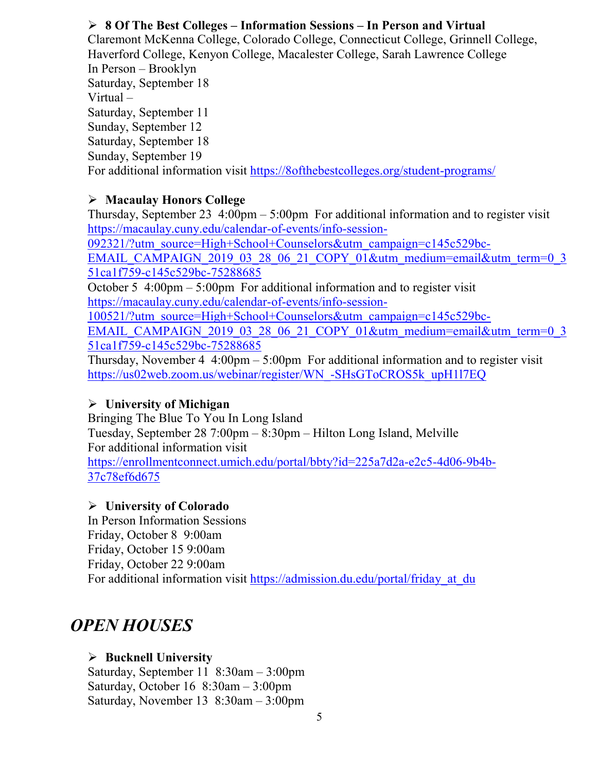#### **8 Of The Best Colleges – Information Sessions – In Person and Virtual**

Claremont McKenna College, Colorado College, Connecticut College, Grinnell College, Haverford College, Kenyon College, Macalester College, Sarah Lawrence College In Person – Brooklyn Saturday, September 18 Virtual – Saturday, September 11 Sunday, September 12 Saturday, September 18 Sunday, September 19 For additional information visit<https://8ofthebestcolleges.org/student-programs/>

#### **Macaulay Honors College**

Thursday, September 23  $4:00 \text{pm} - 5:00 \text{pm}$  For additional information and to register visit [https://macaulay.cuny.edu/calendar-of-events/info-session-](https://macaulay.cuny.edu/calendar-of-events/info-session-092321/?utm_source=High+School+Counselors&utm_campaign=c145c529bc-EMAIL_CAMPAIGN_2019_03_28_06_21_COPY_01&utm_medium=email&utm_term=0_351ca1f759-c145c529bc-75288685)

[092321/?utm\\_source=High+School+Counselors&utm\\_campaign=c145c529bc-](https://macaulay.cuny.edu/calendar-of-events/info-session-092321/?utm_source=High+School+Counselors&utm_campaign=c145c529bc-EMAIL_CAMPAIGN_2019_03_28_06_21_COPY_01&utm_medium=email&utm_term=0_351ca1f759-c145c529bc-75288685)

[EMAIL\\_CAMPAIGN\\_2019\\_03\\_28\\_06\\_21\\_COPY\\_01&utm\\_medium=email&utm\\_term=0\\_3](https://macaulay.cuny.edu/calendar-of-events/info-session-092321/?utm_source=High+School+Counselors&utm_campaign=c145c529bc-EMAIL_CAMPAIGN_2019_03_28_06_21_COPY_01&utm_medium=email&utm_term=0_351ca1f759-c145c529bc-75288685) [51ca1f759-c145c529bc-75288685](https://macaulay.cuny.edu/calendar-of-events/info-session-092321/?utm_source=High+School+Counselors&utm_campaign=c145c529bc-EMAIL_CAMPAIGN_2019_03_28_06_21_COPY_01&utm_medium=email&utm_term=0_351ca1f759-c145c529bc-75288685)

October 5 4:00pm – 5:00pm For additional information and to register visit [https://macaulay.cuny.edu/calendar-of-events/info-session-](https://macaulay.cuny.edu/calendar-of-events/info-session-100521/?utm_source=High+School+Counselors&utm_campaign=c145c529bc-EMAIL_CAMPAIGN_2019_03_28_06_21_COPY_01&utm_medium=email&utm_term=0_351ca1f759-c145c529bc-75288685)

[100521/?utm\\_source=High+School+Counselors&utm\\_campaign=c145c529bc-](https://macaulay.cuny.edu/calendar-of-events/info-session-100521/?utm_source=High+School+Counselors&utm_campaign=c145c529bc-EMAIL_CAMPAIGN_2019_03_28_06_21_COPY_01&utm_medium=email&utm_term=0_351ca1f759-c145c529bc-75288685)

[EMAIL\\_CAMPAIGN\\_2019\\_03\\_28\\_06\\_21\\_COPY\\_01&utm\\_medium=email&utm\\_term=0\\_3](https://macaulay.cuny.edu/calendar-of-events/info-session-100521/?utm_source=High+School+Counselors&utm_campaign=c145c529bc-EMAIL_CAMPAIGN_2019_03_28_06_21_COPY_01&utm_medium=email&utm_term=0_351ca1f759-c145c529bc-75288685) [51ca1f759-c145c529bc-75288685](https://macaulay.cuny.edu/calendar-of-events/info-session-100521/?utm_source=High+School+Counselors&utm_campaign=c145c529bc-EMAIL_CAMPAIGN_2019_03_28_06_21_COPY_01&utm_medium=email&utm_term=0_351ca1f759-c145c529bc-75288685)

Thursday, November 4  $4:00 \text{pm} - 5:00 \text{pm}$  For additional information and to register visit [https://us02web.zoom.us/webinar/register/WN\\_-SHsGToCROS5k\\_upH1l7EQ](https://us02web.zoom.us/webinar/register/WN_-SHsGToCROS5k_upH1l7EQ)

#### **University of Michigan**

Bringing The Blue To You In Long Island Tuesday, September 28 7:00pm – 8:30pm – Hilton Long Island, Melville For additional information visit [https://enrollmentconnect.umich.edu/portal/bbty?id=225a7d2a-e2c5-4d06-9b4b-](https://enrollmentconnect.umich.edu/portal/bbty?id=225a7d2a-e2c5-4d06-9b4b-37c78ef6d675)[37c78ef6d675](https://enrollmentconnect.umich.edu/portal/bbty?id=225a7d2a-e2c5-4d06-9b4b-37c78ef6d675)

#### **University of Colorado**

In Person Information Sessions Friday, October 8 9:00am Friday, October 15 9:00am Friday, October 22 9:00am For additional information visit https://admission.du.edu/portal/friday at du

# *OPEN HOUSES*

#### **Bucknell University**

Saturday, September 11 8:30am – 3:00pm Saturday, October 16 8:30am – 3:00pm Saturday, November 13 8:30am – 3:00pm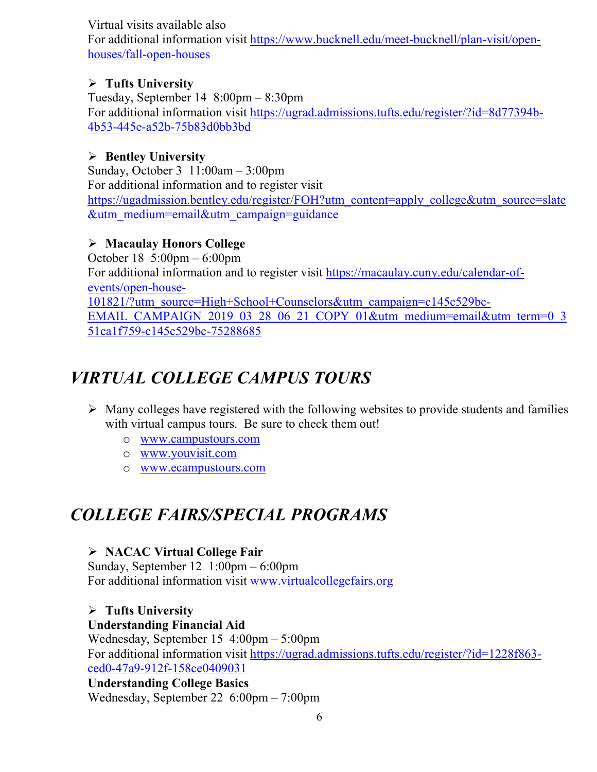Virtual visits available also

For additional information visit [https://www.bucknell.edu/meet-bucknell/plan-visit/open](https://www.bucknell.edu/meet-bucknell/plan-visit/open-houses/fall-open-houses)[houses/fall-open-houses](https://www.bucknell.edu/meet-bucknell/plan-visit/open-houses/fall-open-houses)

#### **Tufts University**

Tuesday, September 14 8:00pm – 8:30pm For additional information visit [https://ugrad.admissions.tufts.edu/register/?id=8d77394b-](https://ugrad.admissions.tufts.edu/register/?id=8d77394b-4b53-445e-a52b-75b83d0bb3bd)[4b53-445e-a52b-75b83d0bb3bd](https://ugrad.admissions.tufts.edu/register/?id=8d77394b-4b53-445e-a52b-75b83d0bb3bd) 

#### **Bentley University**

Sunday, October 3 11:00am – 3:00pm For additional information and to register visit [https://ugadmission.bentley.edu/register/FOH?utm\\_content=apply\\_college&utm\\_source=slate](https://ugadmission.bentley.edu/register/FOH?utm_content=apply_college&utm_source=slate&utm_medium=email&utm_campaign=guidance) [&utm\\_medium=email&utm\\_campaign=guidance](https://ugadmission.bentley.edu/register/FOH?utm_content=apply_college&utm_source=slate&utm_medium=email&utm_campaign=guidance)

#### **Macaulay Honors College**

October 18 5:00pm – 6:00pm For additional information and to register visit [https://macaulay.cuny.edu/calendar-of](https://macaulay.cuny.edu/calendar-of-events/open-house-101821/?utm_source=High+School+Counselors&utm_campaign=c145c529bc-EMAIL_CAMPAIGN_2019_03_28_06_21_COPY_01&utm_medium=email&utm_term=0_351ca1f759-c145c529bc-75288685)[events/open-house-](https://macaulay.cuny.edu/calendar-of-events/open-house-101821/?utm_source=High+School+Counselors&utm_campaign=c145c529bc-EMAIL_CAMPAIGN_2019_03_28_06_21_COPY_01&utm_medium=email&utm_term=0_351ca1f759-c145c529bc-75288685)[101821/?utm\\_source=High+School+Counselors&utm\\_campaign=c145c529bc-](https://macaulay.cuny.edu/calendar-of-events/open-house-101821/?utm_source=High+School+Counselors&utm_campaign=c145c529bc-EMAIL_CAMPAIGN_2019_03_28_06_21_COPY_01&utm_medium=email&utm_term=0_351ca1f759-c145c529bc-75288685)[EMAIL\\_CAMPAIGN\\_2019\\_03\\_28\\_06\\_21\\_COPY\\_01&utm\\_medium=email&utm\\_term=0\\_3](https://macaulay.cuny.edu/calendar-of-events/open-house-101821/?utm_source=High+School+Counselors&utm_campaign=c145c529bc-EMAIL_CAMPAIGN_2019_03_28_06_21_COPY_01&utm_medium=email&utm_term=0_351ca1f759-c145c529bc-75288685) [51ca1f759-c145c529bc-75288685](https://macaulay.cuny.edu/calendar-of-events/open-house-101821/?utm_source=High+School+Counselors&utm_campaign=c145c529bc-EMAIL_CAMPAIGN_2019_03_28_06_21_COPY_01&utm_medium=email&utm_term=0_351ca1f759-c145c529bc-75288685)

# *VIRTUAL COLLEGE CAMPUS TOURS*

- $\triangleright$  Many colleges have registered with the following websites to provide students and families with virtual campus tours. Be sure to check them out!
	- o [www.campustours.com](http://www.campustours.com/)
	- o [www.youvisit.com](http://www.youvisit.com/)
	- o [www.ecampustours.com](http://www.ecampustours.com/)

# *COLLEGE FAIRS/SPECIAL PROGRAMS*

#### **NACAC Virtual College Fair**

Sunday, September 12 1:00pm – 6:00pm For additional information visit [www.virtualcollegefairs.org](http://www.virtualcollegefairs.org/)

 **Tufts University Understanding Financial Aid** Wednesday, September 15 4:00pm – 5:00pm For additional information visit [https://ugrad.admissions.tufts.edu/register/?id=1228f863](https://ugrad.admissions.tufts.edu/register/?id=1228f863-ced0-47a9-912f-158ce0409031) [ced0-47a9-912f-158ce0409031](https://ugrad.admissions.tufts.edu/register/?id=1228f863-ced0-47a9-912f-158ce0409031)

#### **Understanding College Basics**

Wednesday, September 22 6:00pm – 7:00pm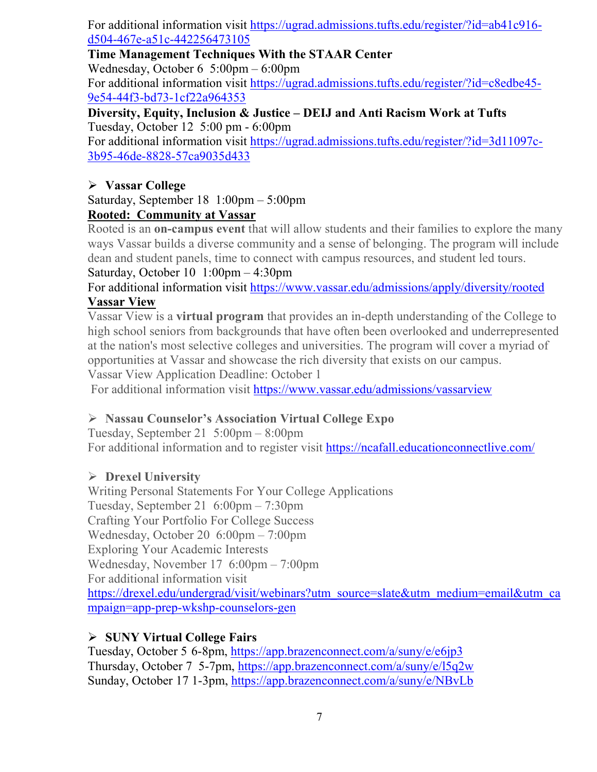For additional information visit [https://ugrad.admissions.tufts.edu/register/?id=ab41c916](https://ugrad.admissions.tufts.edu/register/?id=ab41c916-d504-467e-a51c-442256473105) [d504-467e-a51c-442256473105](https://ugrad.admissions.tufts.edu/register/?id=ab41c916-d504-467e-a51c-442256473105)

#### **Time Management Techniques With the STAAR Center**

Wednesday, October 6 5:00pm – 6:00pm

For additional information visit [https://ugrad.admissions.tufts.edu/register/?id=c8edbe45-](https://ugrad.admissions.tufts.edu/register/?id=c8edbe45-9e54-44f3-bd73-1cf22a964353) [9e54-44f3-bd73-1cf22a964353](https://ugrad.admissions.tufts.edu/register/?id=c8edbe45-9e54-44f3-bd73-1cf22a964353)

**Diversity, Equity, Inclusion & Justice – DEIJ and Anti Racism Work at Tufts** Tuesday, October 12 5:00 pm - 6:00pm

For additional information visit [https://ugrad.admissions.tufts.edu/register/?id=3d11097c-](https://ugrad.admissions.tufts.edu/register/?id=3d11097c-3b95-46de-8828-57ca9035d433)[3b95-46de-8828-57ca9035d433](https://ugrad.admissions.tufts.edu/register/?id=3d11097c-3b95-46de-8828-57ca9035d433)

#### **Vassar College**

Saturday, September 18 1:00pm – 5:00pm **Rooted: Community at Vassar**

Rooted is an **on-campus event** that will allow students and their families to explore the many ways Vassar builds a diverse community and a sense of belonging. The program will include dean and student panels, time to connect with campus resources, and student led tours. Saturday, October 10 1:00pm – 4:30pm

# For additional information visit<https://www.vassar.edu/admissions/apply/diversity/rooted>

#### **Vassar View**

Vassar View is a **virtual program** that provides an in-depth understanding of the College to high school seniors from backgrounds that have often been overlooked and underrepresented at the nation's most selective colleges and universities. The program will cover a myriad of opportunities at Vassar and showcase the rich diversity that exists on our campus.

Vassar View Application Deadline: October 1

For additional information visit<https://www.vassar.edu/admissions/vassarview>

#### **Nassau Counselor's Association Virtual College Expo**

Tuesday, September 21 5:00pm – 8:00pm For additional information and to register visit<https://ncafall.educationconnectlive.com/>

#### **Drexel University**

Writing Personal Statements For Your College Applications Tuesday, September 21 6:00pm – 7:30pm Crafting Your Portfolio For College Success Wednesday, October 20 6:00pm – 7:00pm Exploring Your Academic Interests Wednesday, November 17 6:00pm – 7:00pm For additional information visit [https://drexel.edu/undergrad/visit/webinars?utm\\_source=slate&utm\\_medium=email&utm\\_ca](https://drexel.edu/undergrad/visit/webinars?utm_source=slate&utm_medium=email&utm_campaign=app-prep-wkshp-counselors-gen) [mpaign=app-prep-wkshp-counselors-gen](https://drexel.edu/undergrad/visit/webinars?utm_source=slate&utm_medium=email&utm_campaign=app-prep-wkshp-counselors-gen)

#### **SUNY Virtual College Fairs**

Tuesday, October 5 6-8pm,<https://app.brazenconnect.com/a/suny/e/e6jp3> Thursday, October 7 5-7pm,<https://app.brazenconnect.com/a/suny/e/l5q2w> Sunday, October 17 1-3pm,<https://app.brazenconnect.com/a/suny/e/NBvLb>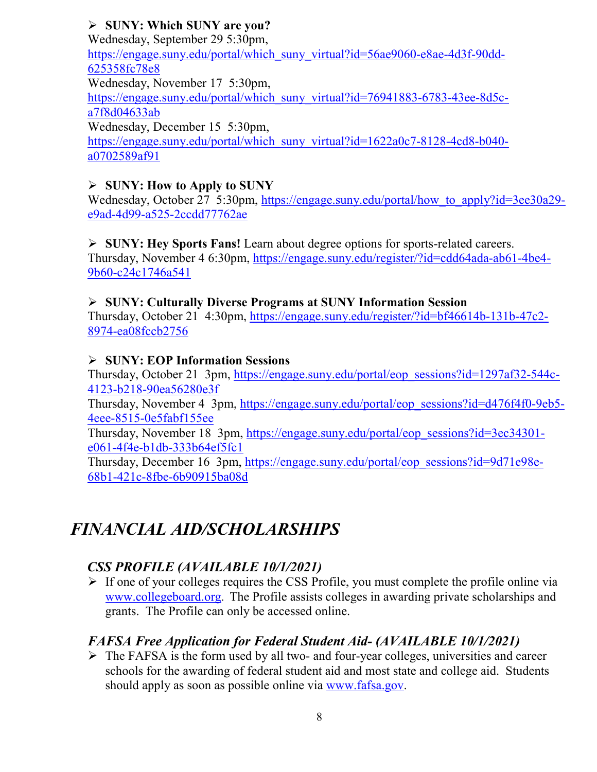#### **SUNY: Which SUNY are you?**

Wednesday, September 29 5:30pm, [https://engage.suny.edu/portal/which\\_suny\\_virtual?id=56ae9060-e8ae-4d3f-90dd-](https://engage.suny.edu/portal/which_suny_virtual?id=56ae9060-e8ae-4d3f-90dd-625358fc78e8)[625358fc78e8](https://engage.suny.edu/portal/which_suny_virtual?id=56ae9060-e8ae-4d3f-90dd-625358fc78e8) Wednesday, November 17 5:30pm, [https://engage.suny.edu/portal/which\\_suny\\_virtual?id=76941883-6783-43ee-8d5c](https://engage.suny.edu/portal/which_suny_virtual?id=76941883-6783-43ee-8d5c-a7f8d04633ab)[a7f8d04633ab](https://engage.suny.edu/portal/which_suny_virtual?id=76941883-6783-43ee-8d5c-a7f8d04633ab) Wednesday, December 15 5:30pm, [https://engage.suny.edu/portal/which\\_suny\\_virtual?id=1622a0c7-8128-4cd8-b040](https://engage.suny.edu/portal/which_suny_virtual?id=1622a0c7-8128-4cd8-b040-a0702589af91) [a0702589af91](https://engage.suny.edu/portal/which_suny_virtual?id=1622a0c7-8128-4cd8-b040-a0702589af91)

#### **SUNY: How to Apply to SUNY**

Wednesday, October 27 5:30pm, https://engage.suny.edu/portal/how to apply?id=3ee30a29[e9ad-4d99-a525-2ccdd77762ae](https://engage.suny.edu/portal/how_to_apply?id=3ee30a29-e9ad-4d99-a525-2ccdd77762ae)

 **SUNY: Hey Sports Fans!** Learn about degree options for sports-related careers. Thursday, November 4 6:30pm, [https://engage.suny.edu/register/?id=cdd64ada-ab61-4be4-](https://engage.suny.edu/register/?id=cdd64ada-ab61-4be4-9b60-c24c1746a541) [9b60-c24c1746a541](https://engage.suny.edu/register/?id=cdd64ada-ab61-4be4-9b60-c24c1746a541)

#### **SUNY: Culturally Diverse Programs at SUNY Information Session**

Thursday, October 21 4:30pm, [https://engage.suny.edu/register/?id=bf46614b-131b-47c2-](https://engage.suny.edu/register/?id=bf46614b-131b-47c2-8974-ea08fccb2756) [8974-ea08fccb2756](https://engage.suny.edu/register/?id=bf46614b-131b-47c2-8974-ea08fccb2756)

#### **SUNY: EOP Information Sessions**

Thursday, October 21 3pm, [https://engage.suny.edu/portal/eop\\_sessions?id=1297af32-544c-](https://engage.suny.edu/portal/eop_sessions?id=1297af32-544c-4123-b218-90ea56280e3f)[4123-b218-90ea56280e3f](https://engage.suny.edu/portal/eop_sessions?id=1297af32-544c-4123-b218-90ea56280e3f)

Thursday, November 4 3pm, [https://engage.suny.edu/portal/eop\\_sessions?id=d476f4f0-9eb5-](https://engage.suny.edu/portal/eop_sessions?id=d476f4f0-9eb5-4eee-8515-0e5fabf155ee) [4eee-8515-0e5fabf155ee](https://engage.suny.edu/portal/eop_sessions?id=d476f4f0-9eb5-4eee-8515-0e5fabf155ee)

Thursday, November 18 3pm, [https://engage.suny.edu/portal/eop\\_sessions?id=3ec34301](https://engage.suny.edu/portal/eop_sessions?id=3ec34301-e061-4f4e-b1db-333b64ef5fc1) [e061-4f4e-b1db-333b64ef5fc1](https://engage.suny.edu/portal/eop_sessions?id=3ec34301-e061-4f4e-b1db-333b64ef5fc1)

Thursday, December 16 3pm, [https://engage.suny.edu/portal/eop\\_sessions?id=9d71e98e-](https://engage.suny.edu/portal/eop_sessions?id=9d71e98e-68b1-421c-8fbe-6b90915ba08d)[68b1-421c-8fbe-6b90915ba08d](https://engage.suny.edu/portal/eop_sessions?id=9d71e98e-68b1-421c-8fbe-6b90915ba08d)

# *FINANCIAL AID/SCHOLARSHIPS*

#### *CSS PROFILE (AVAILABLE 10/1/2021)*

 $\triangleright$  If one of your colleges requires the CSS Profile, you must complete the profile online via [www.collegeboard.org](http://www.collegeboard.org/). The Profile assists colleges in awarding private scholarships and grants. The Profile can only be accessed online.

#### *FAFSA Free Application for Federal Student Aid- (AVAILABLE 10/1/2021)*

 $\triangleright$  The FAFSA is the form used by all two- and four-year colleges, universities and career schools for the awarding of [federal student aid](http://studentaid.ed.gov/students/publications/student_guide/2010-2011/english/typesofFSA_grants.htm) and most state and college aid. Students should apply as soon as possible online via [www.fafsa.gov.](http://www.fafsa.gov/)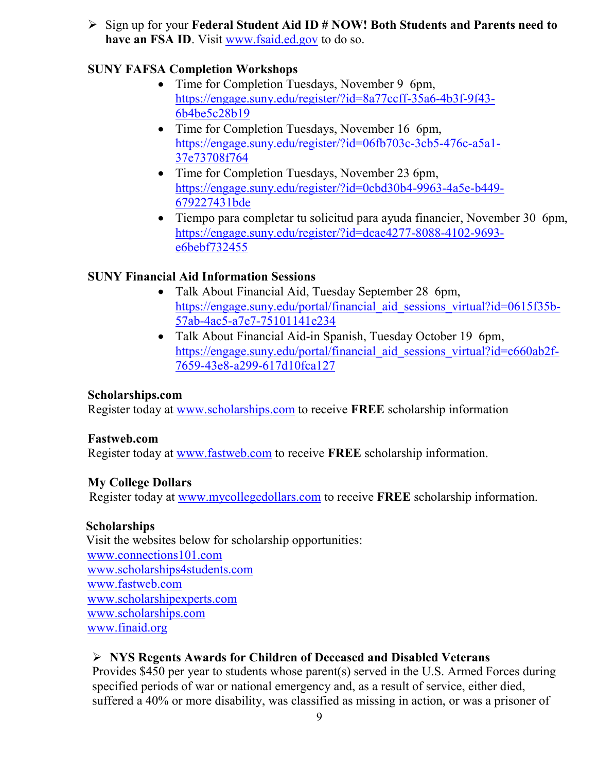Sign up for your **Federal Student Aid ID # NOW! Both Students and Parents need to have an FSA ID**. Visit [www.fsaid.ed.gov](http://www.fsaid.ed.gov/) to do so.

#### **SUNY FAFSA Completion Workshops**

- Time for Completion Tuesdays, November 9 6pm, [https://engage.suny.edu/register/?id=8a77ccff-35a6-4b3f-9f43-](https://engage.suny.edu/register/?id=8a77ccff-35a6-4b3f-9f43-6b4be5c28b19) [6b4be5c28b19](https://engage.suny.edu/register/?id=8a77ccff-35a6-4b3f-9f43-6b4be5c28b19)
- Time for Completion Tuesdays, November 16 6pm, [https://engage.suny.edu/register/?id=06fb703c-3cb5-476c-a5a1-](https://engage.suny.edu/register/?id=06fb703c-3cb5-476c-a5a1-37e73708f764) [37e73708f764](https://engage.suny.edu/register/?id=06fb703c-3cb5-476c-a5a1-37e73708f764)
- Time for Completion Tuesdays, November 23 6pm, [https://engage.suny.edu/register/?id=0cbd30b4-9963-4a5e-b449-](https://engage.suny.edu/register/?id=0cbd30b4-9963-4a5e-b449-679227431bde) [679227431bde](https://engage.suny.edu/register/?id=0cbd30b4-9963-4a5e-b449-679227431bde)
- Tiempo para completar tu solicitud para ayuda financier, November 30 6pm, [https://engage.suny.edu/register/?id=dcae4277-8088-4102-9693](https://engage.suny.edu/register/?id=dcae4277-8088-4102-9693-e6bebf732455) [e6bebf732455](https://engage.suny.edu/register/?id=dcae4277-8088-4102-9693-e6bebf732455)

#### **SUNY Financial Aid Information Sessions**

- Talk About Financial Aid, Tuesday September 28 6pm, [https://engage.suny.edu/portal/financial\\_aid\\_sessions\\_virtual?id=0615f35b-](https://engage.suny.edu/portal/financial_aid_sessions_virtual?id=0615f35b-57ab-4ac5-a7e7-75101141e234)[57ab-4ac5-a7e7-75101141e234](https://engage.suny.edu/portal/financial_aid_sessions_virtual?id=0615f35b-57ab-4ac5-a7e7-75101141e234)
- Talk About Financial Aid-in Spanish, Tuesday October 19 6pm, [https://engage.suny.edu/portal/financial\\_aid\\_sessions\\_virtual?id=c660ab2f-](https://engage.suny.edu/portal/financial_aid_sessions_virtual?id=c660ab2f-7659-43e8-a299-617d10fca127)[7659-43e8-a299-617d10fca127](https://engage.suny.edu/portal/financial_aid_sessions_virtual?id=c660ab2f-7659-43e8-a299-617d10fca127)

#### **Scholarships.com**

Register today at [www.scholarships.com](http://www.scholarships.com/) to receive **FREE** scholarship information

#### **Fastweb.com**

Register today at [www.fastweb.com](http://www.fastweb.com/) to receive **FREE** scholarship information.

#### **My College Dollars**

Register today at [www.mycollegedollars.com](http://www.mycollegedollars.com/) to receive **FREE** scholarship information.

#### **Scholarships**

 Visit the websites below for scholarship opportunities: [www.connections101.com](http://www.connections101.com/) [www.scholarships4students.com](http://www.scholarships4students.com/) [www.fastweb.com](http://www.fastweb.com/) [www.scholarshipexperts.com](http://www.scholarshipexperts.com/) [www.scholarships.com](http://www.scholarships.com/) [www.finaid.org](http://www.finaid.org/)

#### **NYS Regents Awards for Children of Deceased and Disabled Veterans**

Provides \$450 per year to students whose parent(s) served in the U.S. Armed Forces during specified periods of war or national emergency and, as a result of service, either died, suffered a 40% or more disability, was classified as missing in action, or was a prisoner of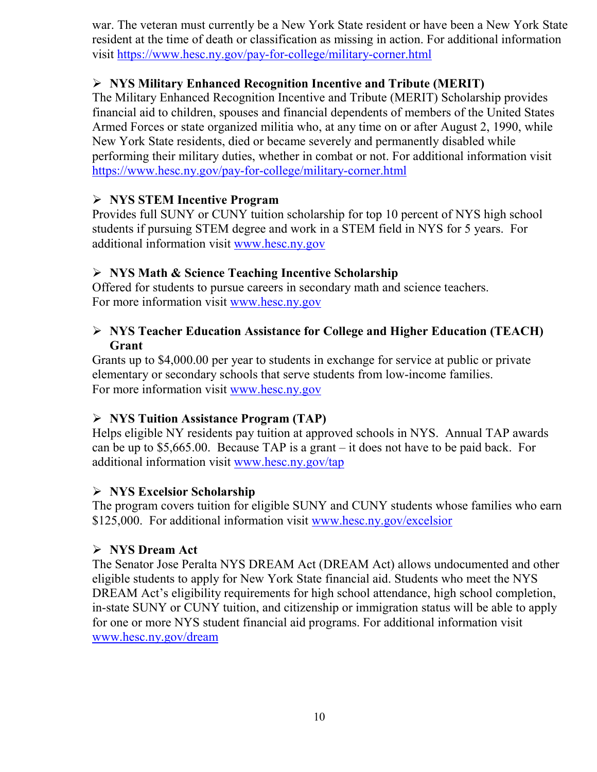war. The veteran must currently be a New York State resident or have been a New York State resident at the time of death or classification as missing in action. For additional information visit<https://www.hesc.ny.gov/pay-for-college/military-corner.html>

#### **NYS Military Enhanced Recognition Incentive and Tribute (MERIT)**

The Military Enhanced Recognition Incentive and Tribute (MERIT) Scholarship provides financial aid to children, spouses and financial dependents of members of the United States Armed Forces or state organized militia who, at any time on or after August 2, 1990, while New York State residents, died or became severely and permanently disabled while performing their military duties, whether in combat or not. For additional information visit <https://www.hesc.ny.gov/pay-for-college/military-corner.html>

#### **NYS STEM Incentive Program**

Provides full SUNY or CUNY tuition scholarship for top 10 percent of NYS high school students if pursuing STEM degree and work in a STEM field in NYS for 5 years. For additional information visit [www.hesc.ny.gov](http://www.hesc.ny.gov/)

#### **NYS Math & Science Teaching Incentive Scholarship**

Offered for students to pursue careers in secondary math and science teachers. For more information visit [www.hesc.ny.gov](http://www.hesc.ny.gov/)

#### **NYS Teacher Education Assistance for College and Higher Education (TEACH) Grant**

Grants up to \$4,000.00 per year to students in exchange for service at public or private elementary or secondary schools that serve students from low-income families. For more information visit [www.hesc.ny.gov](http://www.hesc.ny.gov/) 

#### **NYS Tuition Assistance Program (TAP)**

Helps eligible NY residents pay tuition at approved schools in NYS. Annual TAP awards can be up to \$5,665.00. Because TAP is a grant – it does not have to be paid back. For additional information visit [www.hesc.ny.gov/tap](http://www.hesc.ny.gov/tap)

#### **NYS Excelsior Scholarship**

The program covers tuition for eligible SUNY and CUNY students whose families who earn \$125,000. For additional information visit [www.hesc.ny.gov/](http://www.hesc.ny.gov/)excelsior

#### **NYS Dream Act**

The Senator Jose Peralta NYS DREAM Act (DREAM Act) allows undocumented and other eligible students to apply for New York State financial aid. Students who meet the NYS DREAM Act's eligibility requirements for high school attendance, high school completion, in-state SUNY or CUNY tuition, and citizenship or immigration status will be able to apply for one or more NYS student financial aid programs. For additional information visit [www.hesc.ny.gov/dream](http://www.hesc.ny.gov/dream)